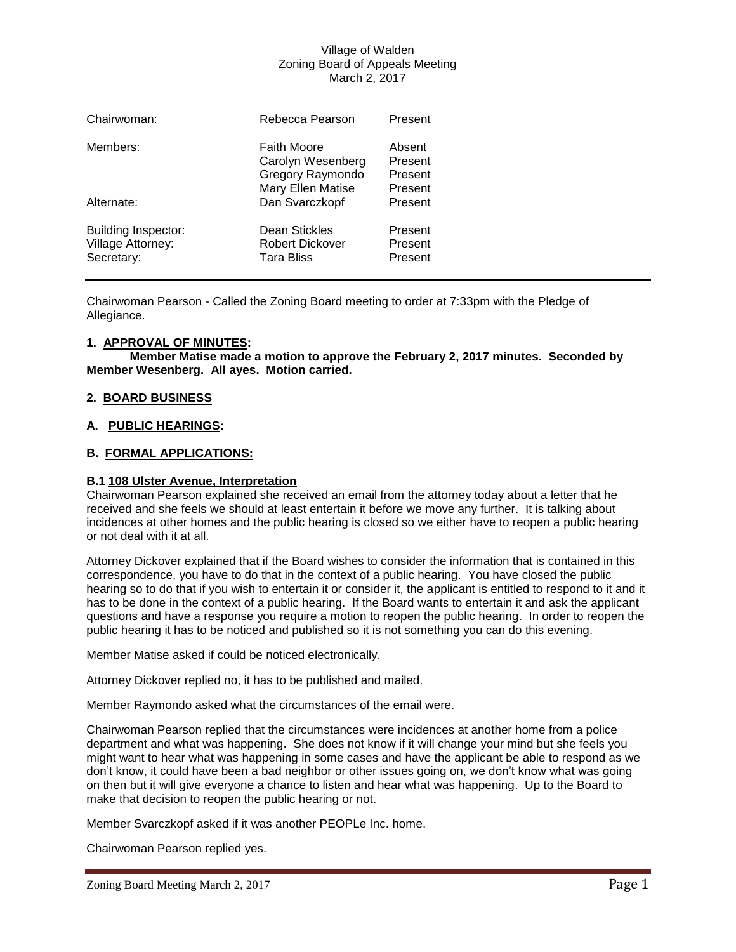| Chairwoman:                                                   | Rebecca Pearson                                                                         | Present                                 |
|---------------------------------------------------------------|-----------------------------------------------------------------------------------------|-----------------------------------------|
| Members:                                                      | <b>Faith Moore</b><br>Carolyn Wesenberg<br><b>Gregory Raymondo</b><br>Mary Ellen Matise | Absent<br>Present<br>Present<br>Present |
| Alternate:                                                    | Dan Svarczkopf                                                                          | Present                                 |
| <b>Building Inspector:</b><br>Village Attorney:<br>Secretary: | Dean Stickles<br>Robert Dickover<br><b>Tara Bliss</b>                                   | Present<br>Present<br>Present           |

Chairwoman Pearson - Called the Zoning Board meeting to order at 7:33pm with the Pledge of Allegiance.

## **1. APPROVAL OF MINUTES:**

**Member Matise made a motion to approve the February 2, 2017 minutes. Seconded by Member Wesenberg. All ayes. Motion carried.**

## **2. BOARD BUSINESS**

## **A. PUBLIC HEARINGS:**

## **B. FORMAL APPLICATIONS:**

## **B.1 108 Ulster Avenue, Interpretation**

Chairwoman Pearson explained she received an email from the attorney today about a letter that he received and she feels we should at least entertain it before we move any further. It is talking about incidences at other homes and the public hearing is closed so we either have to reopen a public hearing or not deal with it at all.

Attorney Dickover explained that if the Board wishes to consider the information that is contained in this correspondence, you have to do that in the context of a public hearing. You have closed the public hearing so to do that if you wish to entertain it or consider it, the applicant is entitled to respond to it and it has to be done in the context of a public hearing. If the Board wants to entertain it and ask the applicant questions and have a response you require a motion to reopen the public hearing. In order to reopen the public hearing it has to be noticed and published so it is not something you can do this evening.

Member Matise asked if could be noticed electronically.

Attorney Dickover replied no, it has to be published and mailed.

Member Raymondo asked what the circumstances of the email were.

Chairwoman Pearson replied that the circumstances were incidences at another home from a police department and what was happening. She does not know if it will change your mind but she feels you might want to hear what was happening in some cases and have the applicant be able to respond as we don't know, it could have been a bad neighbor or other issues going on, we don't know what was going on then but it will give everyone a chance to listen and hear what was happening. Up to the Board to make that decision to reopen the public hearing or not.

Member Svarczkopf asked if it was another PEOPLe Inc. home.

Chairwoman Pearson replied yes.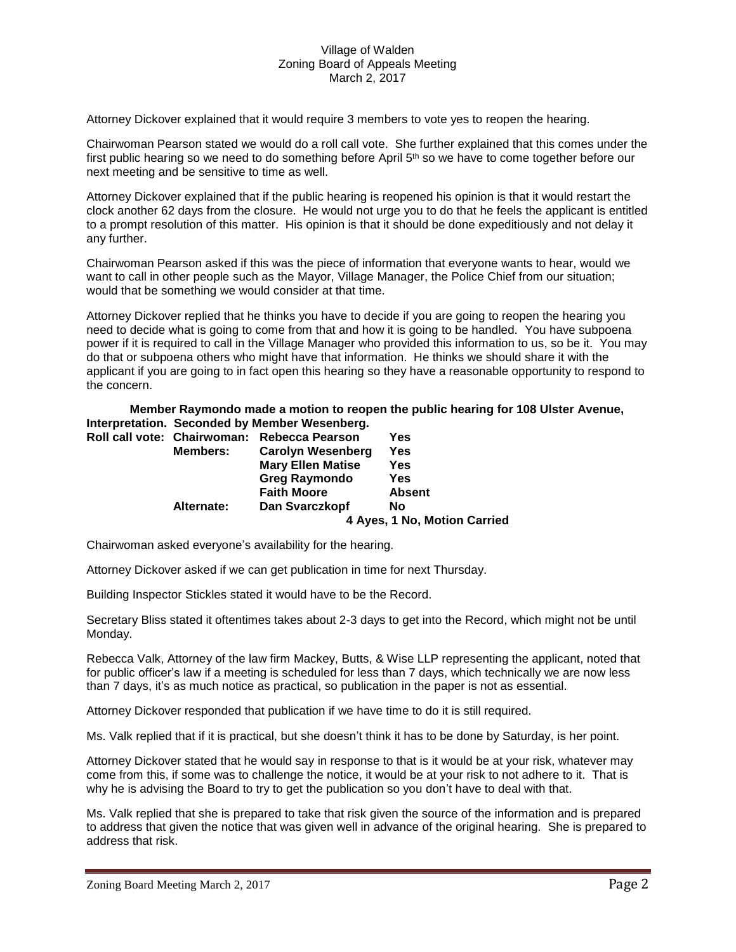Attorney Dickover explained that it would require 3 members to vote yes to reopen the hearing.

Chairwoman Pearson stated we would do a roll call vote. She further explained that this comes under the first public hearing so we need to do something before April  $5<sup>th</sup>$  so we have to come together before our next meeting and be sensitive to time as well.

Attorney Dickover explained that if the public hearing is reopened his opinion is that it would restart the clock another 62 days from the closure. He would not urge you to do that he feels the applicant is entitled to a prompt resolution of this matter. His opinion is that it should be done expeditiously and not delay it any further.

Chairwoman Pearson asked if this was the piece of information that everyone wants to hear, would we want to call in other people such as the Mayor, Village Manager, the Police Chief from our situation; would that be something we would consider at that time.

Attorney Dickover replied that he thinks you have to decide if you are going to reopen the hearing you need to decide what is going to come from that and how it is going to be handled. You have subpoena power if it is required to call in the Village Manager who provided this information to us, so be it. You may do that or subpoena others who might have that information. He thinks we should share it with the applicant if you are going to in fact open this hearing so they have a reasonable opportunity to respond to the concern.

#### **Member Raymondo made a motion to reopen the public hearing for 108 Ulster Avenue, Interpretation. Seconded by Member Wesenberg.**

|                 | Roll call vote: Chairwoman: Rebecca Pearson | Yes           |
|-----------------|---------------------------------------------|---------------|
| <b>Members:</b> | <b>Carolyn Wesenberg</b>                    | Yes           |
|                 | <b>Mary Ellen Matise</b>                    | Yes           |
|                 | <b>Greg Raymondo</b>                        | Yes           |
|                 | <b>Faith Moore</b>                          | <b>Absent</b> |
| Alternate:      | Dan Svarczkopf                              | No            |
|                 | 4 Ayes, 1 No, Motion Carried                |               |
|                 |                                             |               |

Chairwoman asked everyone's availability for the hearing.

Attorney Dickover asked if we can get publication in time for next Thursday.

Building Inspector Stickles stated it would have to be the Record.

Secretary Bliss stated it oftentimes takes about 2-3 days to get into the Record, which might not be until Monday.

Rebecca Valk, Attorney of the law firm Mackey, Butts, & Wise LLP representing the applicant, noted that for public officer's law if a meeting is scheduled for less than 7 days, which technically we are now less than 7 days, it's as much notice as practical, so publication in the paper is not as essential.

Attorney Dickover responded that publication if we have time to do it is still required.

Ms. Valk replied that if it is practical, but she doesn't think it has to be done by Saturday, is her point.

Attorney Dickover stated that he would say in response to that is it would be at your risk, whatever may come from this, if some was to challenge the notice, it would be at your risk to not adhere to it. That is why he is advising the Board to try to get the publication so you don't have to deal with that.

Ms. Valk replied that she is prepared to take that risk given the source of the information and is prepared to address that given the notice that was given well in advance of the original hearing. She is prepared to address that risk.

Zoning Board Meeting March 2, 2017 Page 2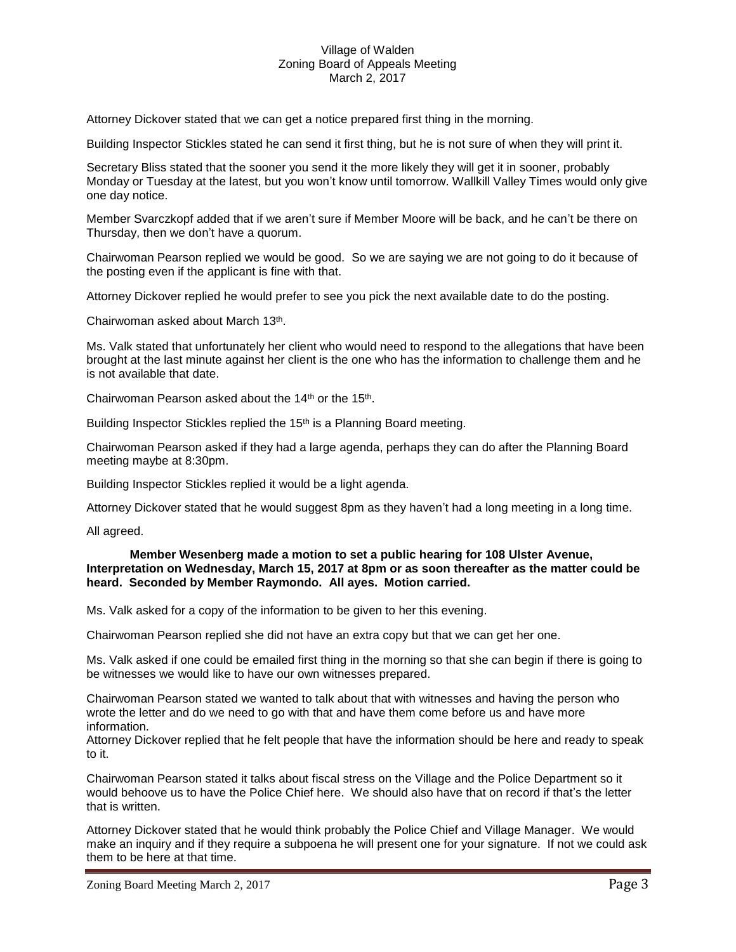Attorney Dickover stated that we can get a notice prepared first thing in the morning.

Building Inspector Stickles stated he can send it first thing, but he is not sure of when they will print it.

Secretary Bliss stated that the sooner you send it the more likely they will get it in sooner, probably Monday or Tuesday at the latest, but you won't know until tomorrow. Wallkill Valley Times would only give one day notice.

Member Svarczkopf added that if we aren't sure if Member Moore will be back, and he can't be there on Thursday, then we don't have a quorum.

Chairwoman Pearson replied we would be good. So we are saying we are not going to do it because of the posting even if the applicant is fine with that.

Attorney Dickover replied he would prefer to see you pick the next available date to do the posting.

Chairwoman asked about March 13<sup>th</sup>.

Ms. Valk stated that unfortunately her client who would need to respond to the allegations that have been brought at the last minute against her client is the one who has the information to challenge them and he is not available that date.

Chairwoman Pearson asked about the 14<sup>th</sup> or the 15<sup>th</sup>.

Building Inspector Stickles replied the 15<sup>th</sup> is a Planning Board meeting.

Chairwoman Pearson asked if they had a large agenda, perhaps they can do after the Planning Board meeting maybe at 8:30pm.

Building Inspector Stickles replied it would be a light agenda.

Attorney Dickover stated that he would suggest 8pm as they haven't had a long meeting in a long time.

All agreed.

### **Member Wesenberg made a motion to set a public hearing for 108 Ulster Avenue, Interpretation on Wednesday, March 15, 2017 at 8pm or as soon thereafter as the matter could be heard. Seconded by Member Raymondo. All ayes. Motion carried.**

Ms. Valk asked for a copy of the information to be given to her this evening.

Chairwoman Pearson replied she did not have an extra copy but that we can get her one.

Ms. Valk asked if one could be emailed first thing in the morning so that she can begin if there is going to be witnesses we would like to have our own witnesses prepared.

Chairwoman Pearson stated we wanted to talk about that with witnesses and having the person who wrote the letter and do we need to go with that and have them come before us and have more information.

Attorney Dickover replied that he felt people that have the information should be here and ready to speak to it.

Chairwoman Pearson stated it talks about fiscal stress on the Village and the Police Department so it would behoove us to have the Police Chief here. We should also have that on record if that's the letter that is written.

Attorney Dickover stated that he would think probably the Police Chief and Village Manager. We would make an inquiry and if they require a subpoena he will present one for your signature. If not we could ask them to be here at that time.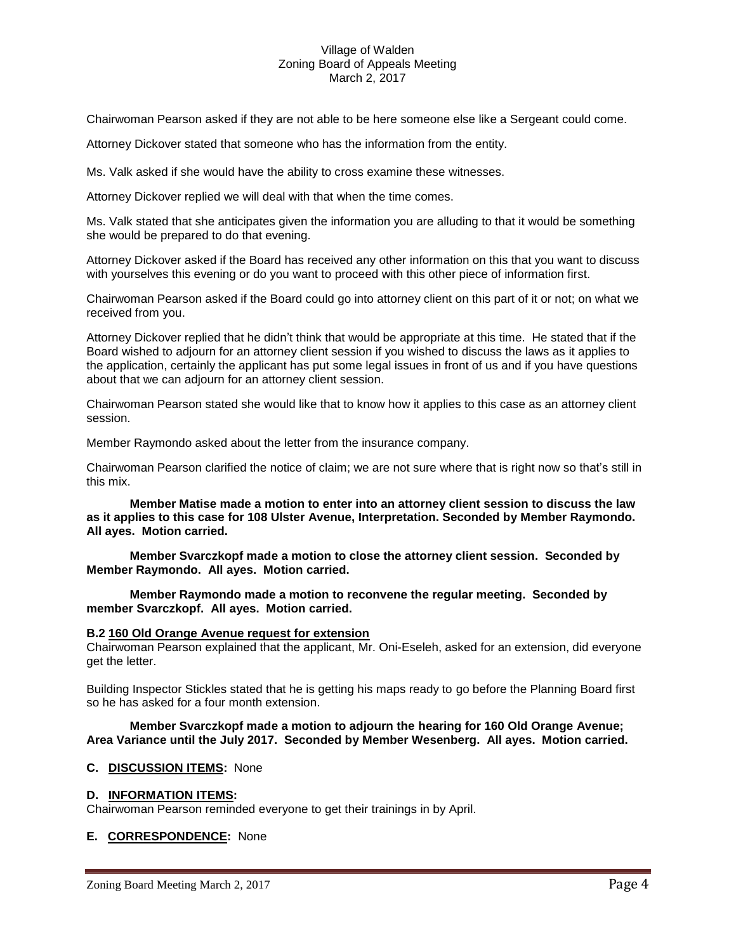Chairwoman Pearson asked if they are not able to be here someone else like a Sergeant could come.

Attorney Dickover stated that someone who has the information from the entity.

Ms. Valk asked if she would have the ability to cross examine these witnesses.

Attorney Dickover replied we will deal with that when the time comes.

Ms. Valk stated that she anticipates given the information you are alluding to that it would be something she would be prepared to do that evening.

Attorney Dickover asked if the Board has received any other information on this that you want to discuss with yourselves this evening or do you want to proceed with this other piece of information first.

Chairwoman Pearson asked if the Board could go into attorney client on this part of it or not; on what we received from you.

Attorney Dickover replied that he didn't think that would be appropriate at this time. He stated that if the Board wished to adjourn for an attorney client session if you wished to discuss the laws as it applies to the application, certainly the applicant has put some legal issues in front of us and if you have questions about that we can adjourn for an attorney client session.

Chairwoman Pearson stated she would like that to know how it applies to this case as an attorney client session.

Member Raymondo asked about the letter from the insurance company.

Chairwoman Pearson clarified the notice of claim; we are not sure where that is right now so that's still in this mix.

**Member Matise made a motion to enter into an attorney client session to discuss the law as it applies to this case for 108 Ulster Avenue, Interpretation. Seconded by Member Raymondo. All ayes. Motion carried.**

**Member Svarczkopf made a motion to close the attorney client session. Seconded by Member Raymondo. All ayes. Motion carried.**

**Member Raymondo made a motion to reconvene the regular meeting. Seconded by member Svarczkopf. All ayes. Motion carried.**

## **B.2 160 Old Orange Avenue request for extension**

Chairwoman Pearson explained that the applicant, Mr. Oni-Eseleh, asked for an extension, did everyone get the letter.

Building Inspector Stickles stated that he is getting his maps ready to go before the Planning Board first so he has asked for a four month extension.

**Member Svarczkopf made a motion to adjourn the hearing for 160 Old Orange Avenue; Area Variance until the July 2017. Seconded by Member Wesenberg. All ayes. Motion carried.**

## **C. DISCUSSION ITEMS:** None

## **D. INFORMATION ITEMS:**

Chairwoman Pearson reminded everyone to get their trainings in by April.

## **E. CORRESPONDENCE:** None